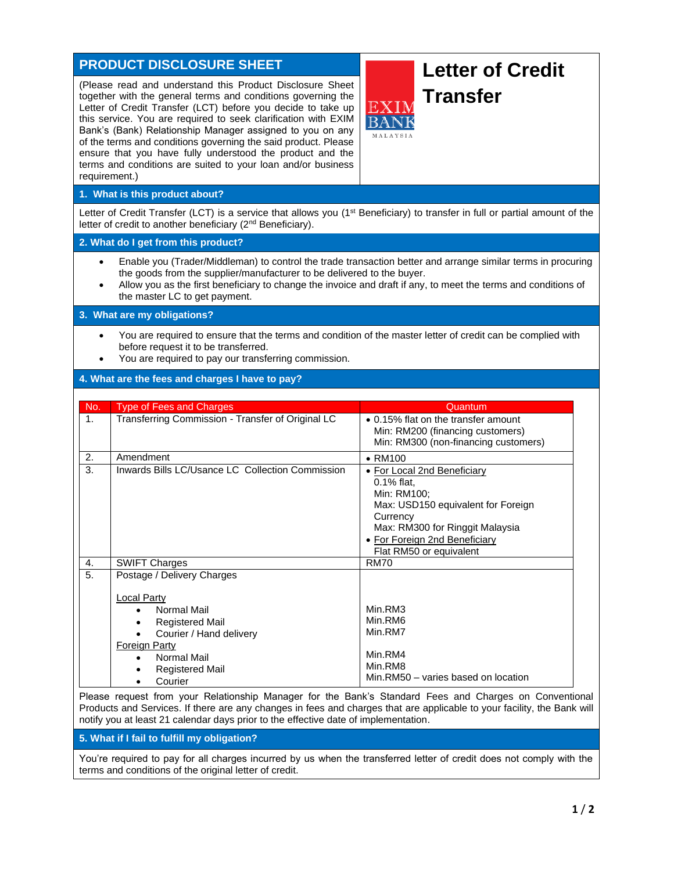# **PRODUCT DISCLOSURE SHEET**

(Please read and understand this Product Disclosure Sheet together with the general terms and conditions governing the Letter of Credit Transfer (LCT) before you decide to take up this service. You are required to seek clarification with EXIM Bank's (Bank) Relationship Manager assigned to you on any of the terms and conditions governing the said product. Please ensure that you have fully understood the product and the terms and conditions are suited to your loan and/or business requirement.)

# **Letter of Credit Transfer**

# **1. What is this product about?**

Letter of Credit Transfer (LCT) is a service that allows you (1<sup>st</sup> Beneficiary) to transfer in full or partial amount of the letter of credit to another beneficiary (2<sup>nd</sup> Beneficiary).

#### **2. What do I get from this product?**

- Enable you (Trader/Middleman) to control the trade transaction better and arrange similar terms in procuring the goods from the supplier/manufacturer to be delivered to the buyer.
- Allow you as the first beneficiary to change the invoice and draft if any, to meet the terms and conditions of the master LC to get payment.

# **3. What are my obligations?**

- You are required to ensure that the terms and condition of the master letter of credit can be complied with before request it to be transferred.
- You are required to pay our transferring commission.

### **4. What are the fees and charges I have to pay?**

| No.            | <b>Type of Fees and Charges</b>                                                          | Quantum                                                                                                                                                                                                      |
|----------------|------------------------------------------------------------------------------------------|--------------------------------------------------------------------------------------------------------------------------------------------------------------------------------------------------------------|
| 1 <sub>1</sub> | Transferring Commission - Transfer of Original LC                                        | • 0.15% flat on the transfer amount<br>Min: RM200 (financing customers)<br>Min: RM300 (non-financing customers)                                                                                              |
| 2.             | Amendment                                                                                | $\bullet$ RM100                                                                                                                                                                                              |
| 3.             | Inwards Bills LC/Usance LC Collection Commission                                         | • For Local 2nd Beneficiary<br>$0.1\%$ flat,<br>Min: RM100;<br>Max: USD150 equivalent for Foreign<br>Currency<br>Max: RM300 for Ringgit Malaysia<br>• For Foreign 2nd Beneficiary<br>Flat RM50 or equivalent |
| 4.             | <b>SWIFT Charges</b>                                                                     | <b>RM70</b>                                                                                                                                                                                                  |
| 5.             | Postage / Delivery Charges<br><b>Local Party</b>                                         |                                                                                                                                                                                                              |
|                | Normal Mail<br><b>Registered Mail</b><br>Courier / Hand delivery<br><b>Foreign Party</b> | Min.RM3<br>Min.RM6<br>Min.RM7                                                                                                                                                                                |
|                | Normal Mail<br>$\bullet$<br><b>Registered Mail</b><br>Courier                            | Min.RM4<br>Min.RM8<br>Min.RM50 - varies based on location                                                                                                                                                    |

Please request from your Relationship Manager for the Bank's Standard Fees and Charges on Conventional Products and Services. If there are any changes in fees and charges that are applicable to your facility, the Bank will notify you at least 21 calendar days prior to the effective date of implementation.

# **5. What if I fail to fulfill my obligation?**

You're required to pay for all charges incurred by us when the transferred letter of credit does not comply with the terms and conditions of the original letter of credit.